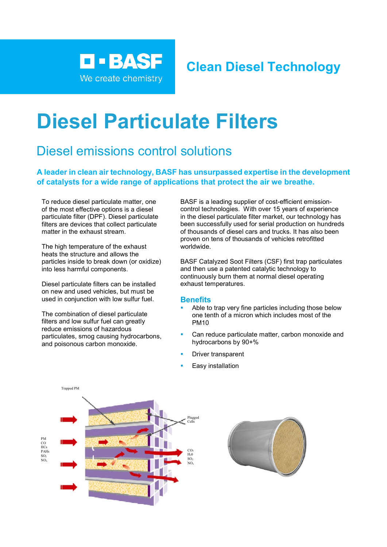

# **Clean Diesel Technology**

# **Diesel Particulate Filters**

# Diesel emissions control solutions

## **A leader in clean air technology, BASF has unsurpassed expertise in the development of catalysts for a wide range of applications that protect the air we breathe.**

To reduce diesel particulate matter, one of the most effective options is a diesel particulate filter (DPF). Diesel particulate filters are devices that collect particulate matter in the exhaust stream.

The high temperature of the exhaust heats the structure and allows the particles inside to break down (or oxidize) into less harmful components.

Diesel particulate filters can be installed on new and used vehicles, but must be used in conjunction with low sulfur fuel.

The combination of diesel particulate filters and low sulfur fuel can greatly reduce emissions of hazardous particulates, smog causing hydrocarbons, and poisonous carbon monoxide.

BASF is a leading supplier of cost-efficient emissioncontrol technologies. With over 15 years of experience in the diesel particulate filter market, our technology has been successfully used for serial production on hundreds of thousands of diesel cars and trucks. It has also been proven on tens of thousands of vehicles retrofitted worldwide.

BASF Catalyzed Soot Filters (CSF) first trap particulates and then use a patented catalytic technology to continuously burn them at normal diesel operating exhaust temperatures.

### **Benefits**

- Able to trap very fine particles including those below one tenth of a micron which includes most of the PM10
- Can reduce particulate matter, carbon monoxide and hydrocarbons by 90+%
- Driver transparent
- Easy installation